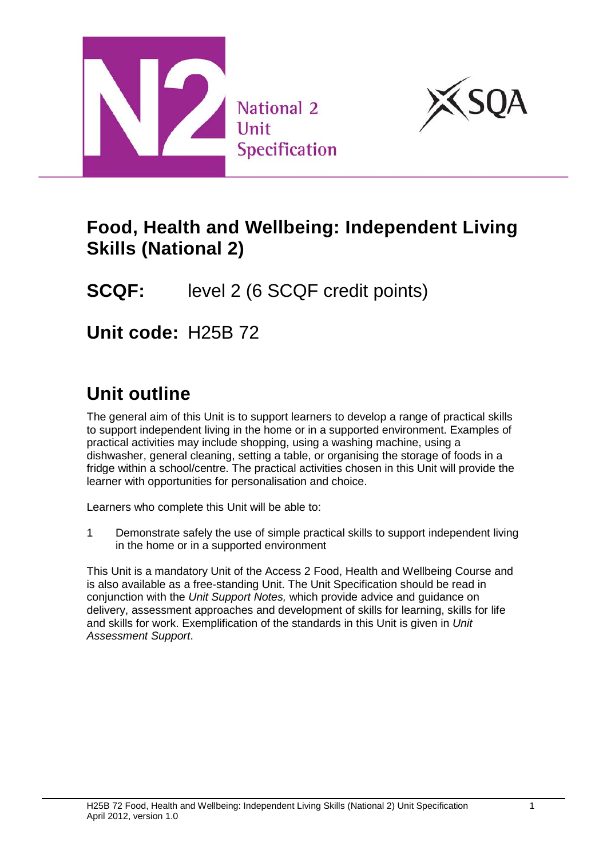



## **Food, Health and Wellbeing: Independent Living Skills (National 2)**

**SCQF:** level 2 (6 SCQF credit points)

**Unit code:** H25B 72

# **Unit outline**

The general aim of this Unit is to support learners to develop a range of practical skills to support independent living in the home or in a supported environment. Examples of practical activities may include shopping, using a washing machine, using a dishwasher, general cleaning, setting a table, or organising the storage of foods in a fridge within a school/centre. The practical activities chosen in this Unit will provide the learner with opportunities for personalisation and choice.

Learners who complete this Unit will be able to:

1 Demonstrate safely the use of simple practical skills to support independent living in the home or in a supported environment

This Unit is a mandatory Unit of the Access 2 Food, Health and Wellbeing Course and is also available as a free-standing Unit. The Unit Specification should be read in conjunction with the *Unit Support Notes,* which provide advice and guidance on delivery, assessment approaches and development of skills for learning, skills for life and skills for work. Exemplification of the standards in this Unit is given in *Unit Assessment Support*.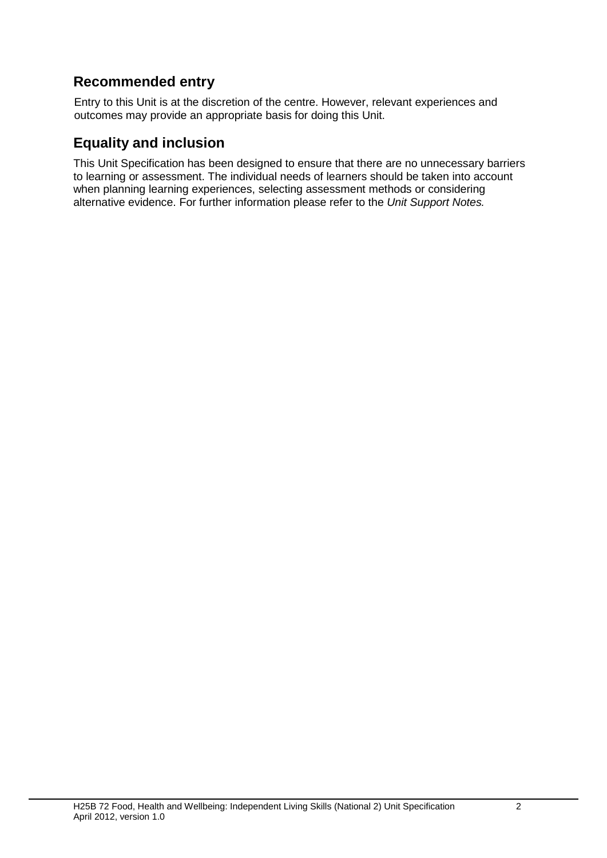#### **Recommended entry**

Entry to this Unit is at the discretion of the centre. However, relevant experiences and outcomes may provide an appropriate basis for doing this Unit.

#### **Equality and inclusion**

This Unit Specification has been designed to ensure that there are no unnecessary barriers to learning or assessment. The individual needs of learners should be taken into account when planning learning experiences, selecting assessment methods or considering alternative evidence. For further information please refer to the *Unit Support Notes.*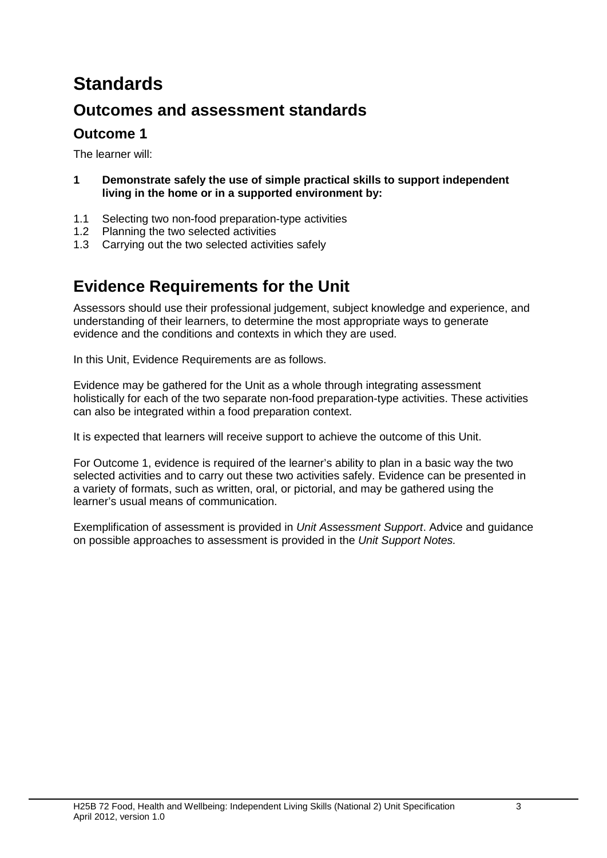# **Standards**

## **Outcomes and assessment standards**

### **Outcome 1**

The learner will:

- **1 Demonstrate safely the use of simple practical skills to support independent living in the home or in a supported environment by:**
- 1.1 Selecting two non-food preparation-type activities
- 1.2 Planning the two selected activities<br>1.3 Carrying out the two selected activity
- Carrying out the two selected activities safely

## **Evidence Requirements for the Unit**

Assessors should use their professional judgement, subject knowledge and experience, and understanding of their learners, to determine the most appropriate ways to generate evidence and the conditions and contexts in which they are used.

In this Unit, Evidence Requirements are as follows.

Evidence may be gathered for the Unit as a whole through integrating assessment holistically for each of the two separate non-food preparation-type activities. These activities can also be integrated within a food preparation context.

It is expected that learners will receive support to achieve the outcome of this Unit.

For Outcome 1, evidence is required of the learner's ability to plan in a basic way the two selected activities and to carry out these two activities safely. Evidence can be presented in a variety of formats, such as written, oral, or pictorial, and may be gathered using the learner's usual means of communication.

Exemplification of assessment is provided in *Unit Assessment Support*. Advice and guidance on possible approaches to assessment is provided in the *Unit Support Notes.*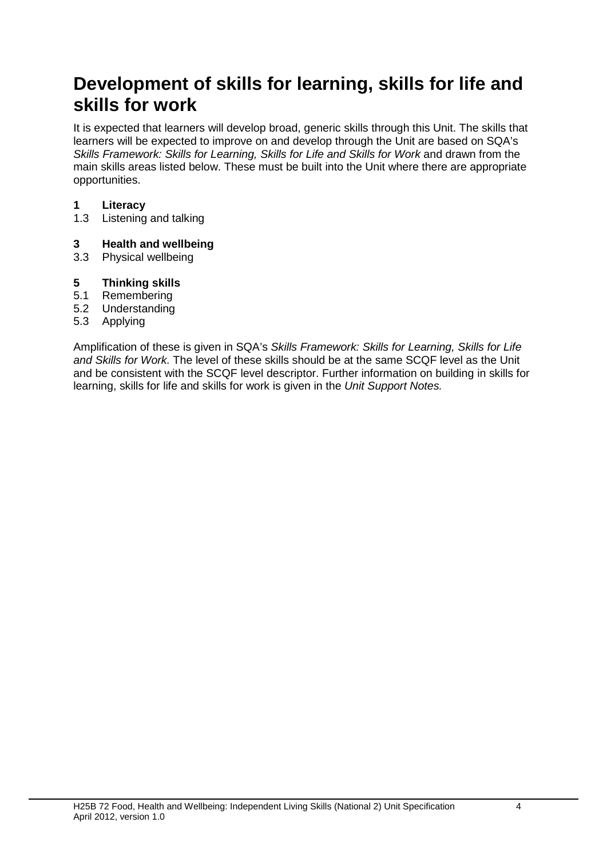# **Development of skills for learning, skills for life and skills for work**

It is expected that learners will develop broad, generic skills through this Unit. The skills that learners will be expected to improve on and develop through the Unit are based on SQA's *Skills Framework: Skills for Learning, Skills for Life and Skills for Work and drawn from the* main skills areas listed below. These must be built into the Unit where there are appropriate opportunities.

# **1 Literacy**

Listening and talking

#### **3 Health and wellbeing**

3.3 Physical wellbeing

# **5 Thinking skills**

- **Remembering**
- 5.2 Understanding
- 5.3 Applying

Amplification of these is given in SQA's *Skills Framework: Skills for Learning, Skills for Life and Skills for Work.* The level of these skills should be at the same SCQF level as the Unit and be consistent with the SCQF level descriptor. Further information on building in skills for learning, skills for life and skills for work is given in the *Unit Support Notes.*